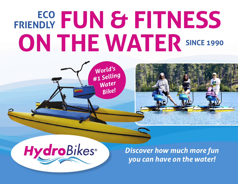# **FUN & FITNESS FRIENDLY SINCE 1990 ON THE WATER**







*Discover how much more fun you can have on the water!*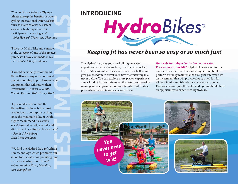"You don't have to be an Olympic athlete to reap the benefits of water cycling. Recreational water cyclists burn as many calories as skaters, kayakers, high impact aerobic participants … even joggers." *~ John Howard, Three time Olympian*

"I love my HydroBike and consider it in the category of one of the greatest purchases I have ever made in my life." *~ Robert Thayer, Illinois*

"I would personally recommend HydroBikes to any resort or rental operator looking to purchase reliable equipment that will return their investment." *~ Robert C. Smith, Rental Operator Walt Disney World*

**Man**<br> **TEST**<br> **TEST**<br> **TEST**<br> **TEST**<br> **TEST**<br> **TEST**<br> **TEST**<br> **TEST**<br> **TEST**<br> **TEST**<br> **TEST**<br> **TEST**<br> **TEST**<br> **TEST**<br> **TEST**<br> **TEST**<br> **TEST**<br> **TEST** "I personally believe that the HydroBike Explorer is the most revolutionary concept in cycling since the mountain bike, & would highly recommend it as a very safe & fun watercraft; a wonderful alternative to cycling on busy streets." *~ Randy Schellenberg, Cycle Time Products*

"We find the HydroBike a refreshing new technology which promotes our vision for the safe, non polluting, non intrusive sharing of our lakes." *~ Conservation Trust, Meredith, New Hampshire*

# **INTRODUCING**



## *Keeping fit has never been so easy or so much fun!*

The HydroBike gives you a real biking on water experience with the ocean, lake, or river, at your feet. HydroBikes go faster, ride easier, maneuver better, and give you freedom to travel your favorite waterway like never before. You can explore more places, experience a new kind of fun and fitness on the water, and provide many years of enjoyment for your family. Hydrobikes put a whole new spin on water recreation.

**Get ready for unique family fun on the water. For everyone from 8-80!** HydroBikes are easy to ride and safe for everyone. They are designed and built to perform virtually maintenance free, year after year. It's an investment that will provide free spirited fun for all your family and friends for many years to come. Everyone who enjoys the water and cycling should have an opportunity to experience HydroBikes.

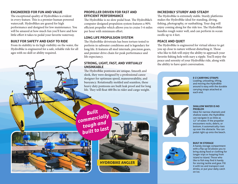#### **ENGINEERED FOR FUN AND VALUE**

The exceptional quality of HydroBikes is evident in every feature. This is a premier human powered watercraft. HydroBikes are geared for high performance and designed for low maintenance. You will be amazed at how much fun you'll have and how little effort it takes to pedal your favorite waterway.

#### **BUILT FOR SAFETY AND EASY TO RIDE**

From its stability to its high visibility on the water, the HydroBike is engineered for a safe, reliable ride for all ages with no skill or ability required.

## **PROPELLER DRIVEN FOR FAST AND EFFICIENT PERFORMANCE**

The HydroBike is no slow pedal boat. The HydroBike's computer designed propulsion system features a 90% efficient propeller which allows you to cruise 5-6 miles per hour with minimum effort.

#### **LONG LIFE PROPULSION SYSTEM**

The HydroBike drivetrain has been torture tested to perform in saltwater conditions and is legendary for long life. It features all steel internals, precision gears, and premier drive chain for peak performance and life expectancy.

## **STRONG, LIGHT, FAST, AND VIRTUALLY UNSINKABLE**

The HydroBike pontoons are unique. Smooth and sleek, they were designed by a professional canoe designer for optimum speed, maneuverability, and buoyancy. Rotationally molded and seamless, these heavy duty pontoons are built leak proof and for long life. They will float 400 lbs in rider and cargo weight.

**HYDROBIKE ANGLER**

#### **INCREDIBLY STURDY AND STEADY**

The HydroBike is extremely stable. Sturdy platforms makes the HydroBike ideal for standing, diving, fishing, photography, or sunbathing. Your dog will enjoy coming along for the ride too. The HydroBike handles rough water well, and can perform in ocean swells up to 4 feet.

#### **PEACE AND QUIET**

The HydroBike is engineered for virtual silence to get you up close to nature without disturbing it. Those who like to fish will enjoy the ability to approach your favorite fishing hole with nary a ripple. You'll enjoy the peace and serenity of your HydroBike ride, along with the ability to have quiet conversation.



**E-Z CARRYING STRAPS** Loading, unloading, lifting, and moving the HydroBike around is easy with the durable carrying straps attached at each end.

#### **SHALLOW WATER IS NO PROBLEM**

Ideal for narrow channels and shallow water, the HydroBike can navigate in as little as 12" of water. If the propeller encounters rocks, debris, or bottom, it automatically rises up over the obstacle. You can pedal right up onto the beach.

#### **BUILT IN STORAGE**

A handy storage compartment with a flip up lid allows you to bring along food or clothing for longer trips or hopping from island to island. Those who like to fish may find it handy for storing tackle and gear. Fill it with ice and transport cool drinks, or put your daily catch on ice.

*Built commercially tough and*